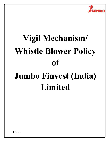

# Vigil Mechanism/ Whistle Blower Policy of Jumbo Finvest (India) Limited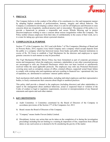

# 1. PREFACE

The Company believes in the conduct of the affairs of its constituents in a fair and transparent manner by adopting highest standards of professionalism, honesty, integrity and ethical behavior. The Company is committed to developing a culture where it is safe for all Employees and Directors to raise concerns about any irregularity, unethical practice and/ or misconduct. The purpose of this policy is to provide a framework to promote a responsible and secure Whistle Blowing and to protect directors/employees wishing to raise a concern about serious irregularities within the Company. The Policy neither releases employees from their duty of confidentiality in the course of their work, nor is it a route for taking up a grievance about a personal situation.

# 2. COMPLIANCES & PURPOSE

Section 177 of the Companies Act, 2013 read with Rules 7 of The Companies (Meetings of Board and its Powers) Rules, 2014, requires every listed Company and a company which accepts deposits from the public or a company which has borrowed money from banks and public financial institutions in excess of Rs. 50 Crores to establish a Vigil Mechanism for the directors and employees to report genuine concerns in such manner as may be prescribed.

The Vigil Mechanism/Whistle Blower Policy has been formulated as part of corporate governance norms and transparency where the employees, customers, stakeholders or any other concerned persons are encouraged to refer any Protected Disclosures which have not been resolved or satisfactorily resolved within the usual applicable protocols. The employees may refer any Protected Disclosures covering areas such as corruption, misuse of office, criminal offences, suspected/ actual fraud, failure to comply with existing rules and regulations and acts resulting in financial loss / operational risk, loss of reputation, etc. detrimental to customers' interest/ public interest.

Such mechanism shall enable the stakeholders, including individual employees and their representative bodies, to freely communicate their concerns about illegal or unethical practices.

This policy shall provide a channel to the employees (including directors) and other stakeholders to report to the management about unethical behaviour, actual or suspected fraud or violation of the Codes of conduct or legal or regulatory requirements, incorrect or misrepresentation of any financial statements and reports and such other matters.

# 3. KEY DEFINITIONS

- a) Audit Committee: A Committee constituted by the Board of Directors of the Company in accordance provisions of the Section 177 of the Companies Act, 2013.
- b) Board: means the Board of Directors of the Company.
- c) "Company" means Jumbo Finvest (India) Limited.
- d) Disciplinary Action: any action that can be taken on the completion of or during the investigation proceedings including but not limiting to a warning  $\&$  imposition of fine, suspension from official duties or any such action as is deemed to be fit considering the gravity of the matter.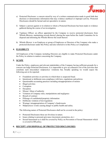

- e) Protected Disclosure: a concern raised by way of a written communication made in good faith that discloses or demonstrates information that may evidence unethical or improper activity. Protected Disclosures should be factual and not speculative in nature.
- f) Subject: a person against or in relation to whom a Protected Disclosure has been made or evidence gathered during the course of an investigation.
- g) Vigilance Officer: an officer appointed by the Company to receive protected disclosures from Whistle Blowers, maintaining records thereof, placing the same before the Audit Committee for its disposal and informing the Whistle Blower the result thereof.
- h) Whistle Blower: is an Employee or group of Employees or Directors of the Company who make a protected disclosure under this Policy and also referred to in this Policy as Complainant.

# 4. ELIGIBILTY

All Employees of the Company including Directors are eligible to make Protected Disclosures under the Policy in relation to matters concerning the Company.

### 5. SCOPE

Under the Policy, employees and relevant stakeholders of the Company having sufficient grounds for a concern can lodge Protected Disclosures. It is impossible to give an exhaustive list of the activities that constitute such misconduct/ malpractice/ violations but, broadly speaking we would expect the following acts to be reported:

- Fraudulent activities or activities in which there is suspected fraud.
- Intentional or deliberate non-compliance with laws, regulations and policies
- Questionable accounting practices including misappropriation of monies
- Illegal activities
- Corruption
- Deception
- Misuse/ Abuse of authority
- Violation of Company rules, manipulations and negligence
- Breach of contract
- Pilferage of confidential/propriety information
- Deliberate violation of law/regulation
- Wastage/ misappropriation of Company's funds/assets
- Malpractices/ events causing danger to public health and safety.

The following nature of Protected Disclosures shall not be covered in the policy:

- Protected Disclosures those are frivolous in nature.
- Issues relating to personal grievance (increment, promotion, etc.)
- Sexual harassment as it shall be covered by Policy on Prevention of Sexual Harassment which is covered in HR policy.

# 6. RECEIPT AND DISPOSAL OF PROTECTED DISCLOSURES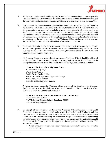

- I. All Protected Disclosures should be reported in writing by the complainant as soon as possible after the Whistle Blower becomes aware of the same so as to ensure a clear understanding of the issues raised and should be in the prescribed format as attached herewith as annexure 'A'.
- II. The Protected Disclosure should be submitted in a closed and secured envelop and should be super scribed as "Protected Disclosure under the Vigil Mechanism/Whistle Blower Policy of". If the complaint is not super scribed and closed as mentioned above, it will not be possible for the Committee to protect the complainant and the protected disclosure will be dealt with as id a normal disclosure. In order to protect identity of the complainant, the Vigilance Officer will not issue any acknowledgement to the complainant and they are advised neither to write their name/address on the envelope at outside. The Vigilance Officer shall assure that in case any further clarification is required he will get in touch with the complainant.
- III. The Protected Disclosure should be forwarded under a covering letter signed by the Whistle Blower. The Vigilance Officer/Chairman of the Audit Committee in exceptional cases as the case may be, shall detach the covering letter bearing the identity of the Whistle Blower and process only the Protected Disclosure.
	- All Protected Disclosures against Employees (except Vigilance Officer) should be addressed to the Vigilance Officer of the Company or to the Chairman of the Audit Committee in appropriate or exceptional cases. The contact details of the Vigilance Officer is as under:-

Name and Address of the Vigilance Officer: Mr. Siddharth Ajay Singh Whole-Time Director Jumbo Finvest (India) Limited R/o 201, Kanchan Apartment, Opp. LBS College, Tilak Nagar, Jaipur-302004 Email ID- siddharth@jumbofin.com

• Protected Disclosure against the Vigilance Officer and any of the Directors of the Company should be addressed to the Chairman of the Audit Committee. The contact details of the Chairman of the Audit Committee is as under:-

Name and Address of the Chairman of Audit Committee: Mr. Tarachand Chaudhary R/o Vill. Bajawa Rawatka Bajawa, Jhunjhunu-333021 Email ID- tc.bajawa@gmail.com

- IV. On receipt of the Protected Disclosure the Vigilance Officer/Chairman of the Audit Committee, as the case may be, shall make a record of the Protected Disclosure and also ascertain from the Whistle Blower whether he was the person who made the Protected Disclosure or not. He shall also carry out an initial investigation either himself or by involving any other Officer of the Company or an outside agency before referring the matter to the Audit Committee of the Company for further appropriate investigation and action as needed. The record shall include: -
	- Whether the same Protected Disclosure was raised previously by anyone, and if so, the outcome thereof;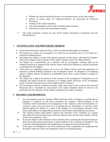

- Whether the same Protected Disclosure was raised previously on the same subject;
- Details of actions taken by Vigilance/Chairman for processing the Protected Disclosure;
- Findings of the Audit Committee;
- The recommendations of the Audit Committee/other action(s);
- Such other records as the circumstances require;
- V. The Audit Committee, if deems fit, may call for further information or particulars from the Whistle Blower.

### 7. INVESTIGATION AND PROCEDURE THEREOF

- All protected disclosures under the Policy will be recorded and thoroughly investigated;
- The decision to conduct an investigation is by itself not an accusation and is to be treated as a neutral fact finding process;
- The Subject has a right to consult with a person or persons of their choice, other than the Vigilance Officers/Investigators and/or members of the Audit Committee and/or the Whistle Blower;
- The Subject has a responsibility not to interfere with the investigation. Evidence shall not be withheld, destroyed or tampered with, and the witness shall not be influenced, coached, threatened or intimidated by the Subject;
- Unless there are compelling reasons not to do so, the Subject shall be given the opportunity to respond to material findings contained in the investigation report. No allegation of wrongdoing against a Subject shall be considered as maintainable unless there is good evidence in support of the allegation;
- The Subject has a right to be informed of the outcome of the investigation. If allegations are not sustained, the Subject should be consulted as to whether public disclosure of the investigation results would be in the best interest of the Subject and the Company;
- The investigation shall be completed normally within ninety days of the receipt of the Protected Disclosure and is extendable by such period as the Audit Committee deems fit; however, the justification for the extension of time shall be recorded by the Audit Committee;

# 8. DECISION AND REPORTING

- I. If an investigation leads the Vigilance Officer/Chairman of the Committee to conclude that an improper or unethical act has been committed, the Vigilance Officer/Chairman of the Committee shall recommend to the management of the Company to take such disciplinary or corrective action as he may deem fit. It is clarified that any disciplinary or corrective action initiated against the Subject as a result of the findings of an investigation pursuant to this Policy shall adhere to the applicable personnel or staff conduct and disciplinary procedures.
- II. The Vigilance Officer shall submit a report to the Chairman of the Committee on a regular basis about all Protected Disclosures referred to him/her since the last report together with the results of investigations, if any.
- III. In case the Subject is the Chairman of the Committee after examining the Protected Disclosure shall forward the protected disclosure to other members of the Committee if deemed fit. The Committee shall appropriately and expeditiously investigate the Protected Disclosure.
- IV. If the report of investigation is not to the satisfaction of the complainant, the complainant has the right to report the event to the appropriate legal or investigating agency.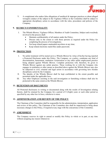

V. A complainant who makes false allegations of unethical & improper practices or about alleged wrongful conduct of the subject to the Vigilance Officer or the Committee shall be subject to appropriate disciplinary action in accordance with the rules, procedures and policies of the Company.

# 9. SECRECY/CONFIDENTIALITY

- I. The Whistle Blower, Vigilance Officer, Members of Audit Committee, Subject and everybody involved in the process shall:
	- Maintain confidentiality of all matters under the Policy;
	- Discuss only to the extent or with those persons as required under the Policy for completing the process of investigations;
	- Not keep related papers unattended anywhere at any time;
	- Keep related electronic mails/files under password;

### 10. PROTECTION

- I. No unfair treatment will be meted out to a Whistle Blower by virtue of his/her having reported a Protected Disclosure under this Policy. The Company, as a policy, condemns any kind of discrimination, harassment, retaliation victimization or any other unfair employment practice being adopted against Whistle Blower. Complete protection will, therefore, be given to Whistle Blower against any unfair practice. Those working for or with the Company who engages in retaliation or other means as described above against the Whistle Blower may also be subjected to civil, criminal and legal action in accordance with governing laws besides disciplinary action by the Company.
- II. The identity of the Whistle Blower shall be kept confidential to the extent possible and permitted under the applicable laws.
- III. Any other Employee assisting in the said investigation or furnishing evidence shall also be protected to the same extent as the Whistle Blower.

### 11. RETENTION OF DOCUMENTS

All Protected disclosures in writing or documented along with the results of Investigation relating thereto, shall be retained by the Company for a period of 8 (Eight) years or such other period as specified by any other law in force, whichever is more.

### 12. ADMINISTRATION AND REVIEW OF THE POLICY

The Chairman of the Committee shall be responsible for the administration, interpretation, application and review of this policy. The Chairman of the Committee also shall be empowered to bring about necessary changes to this Policy, if required at any stage with the concurrence of the Committee.

### 13. AMENDMENT

The Company reserves its right to amend or modify this Policy in whole or in part, at any time without assigning any reason whatsoever.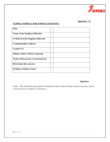

# Annexure -'A'

# SAMPLE FORMAT FOR WHISTLE BLOWING

| Date                                      | ٠<br>٠                 |  |
|-------------------------------------------|------------------------|--|
| Name of the Employee/Director             | $\bullet$<br>$\bullet$ |  |
| <b>E-Mail id of the Employee/Director</b> | $\bullet$<br>$\bullet$ |  |
| <b>Communication Address</b>              | $\bullet$<br>٠         |  |
| <b>Contact No.</b>                        | $\bullet$<br>٠         |  |
| Subject matter which is reported          | $\bullet$<br>٠         |  |
| Name of the person/event focused at       | $\bullet$<br>$\bullet$ |  |
| <b>Brief about the concern</b>            | $\bullet$<br>٠         |  |
| Evidence (enclose, if any)                | ٠<br>$\bullet$         |  |

# Signature

(Note: The whistle blowing shall be submitted at least within 30 days of the occurrence of the concern/event (or) before occurrence)